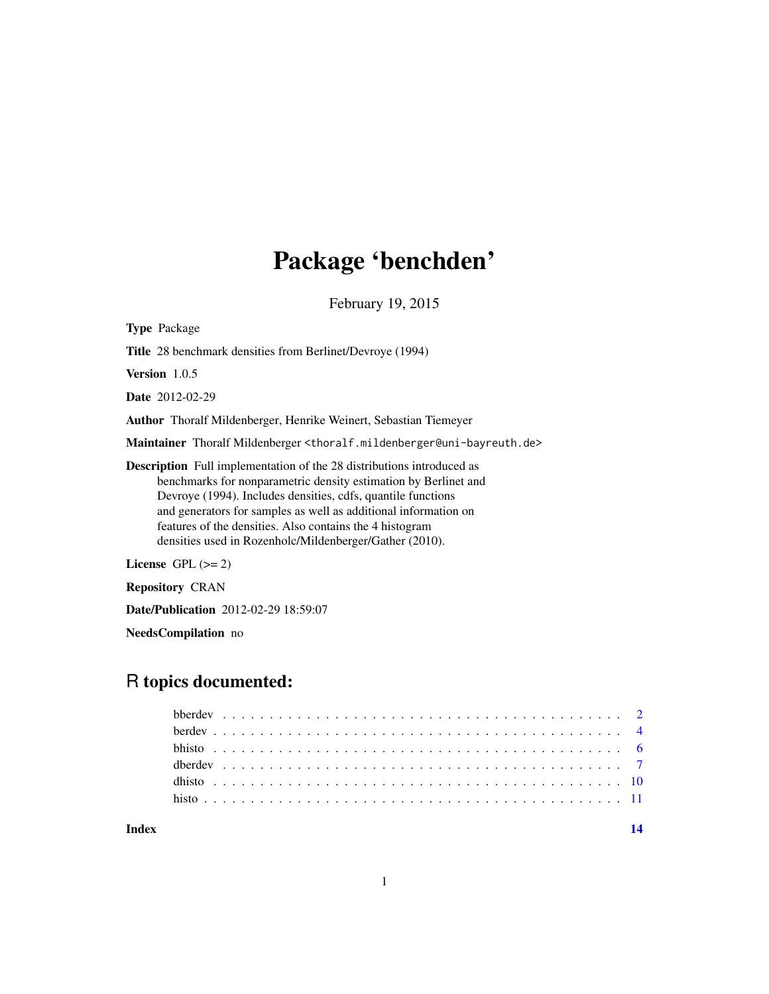# Package 'benchden'

February 19, 2015

Type Package Title 28 benchmark densities from Berlinet/Devroye (1994) Version 1.0.5 Date 2012-02-29 Author Thoralf Mildenberger, Henrike Weinert, Sebastian Tiemeyer Maintainer Thoralf Mildenberger <thoralf.mildenberger@uni-bayreuth.de> Description Full implementation of the 28 distributions introduced as benchmarks for nonparametric density estimation by Berlinet and Devroye (1994). Includes densities, cdfs, quantile functions and generators for samples as well as additional information on features of the densities. Also contains the 4 histogram densities used in Rozenholc/Mildenberger/Gather (2010). License GPL  $(>= 2)$ Repository CRAN

Date/Publication 2012-02-29 18:59:07

NeedsCompilation no

# R topics documented: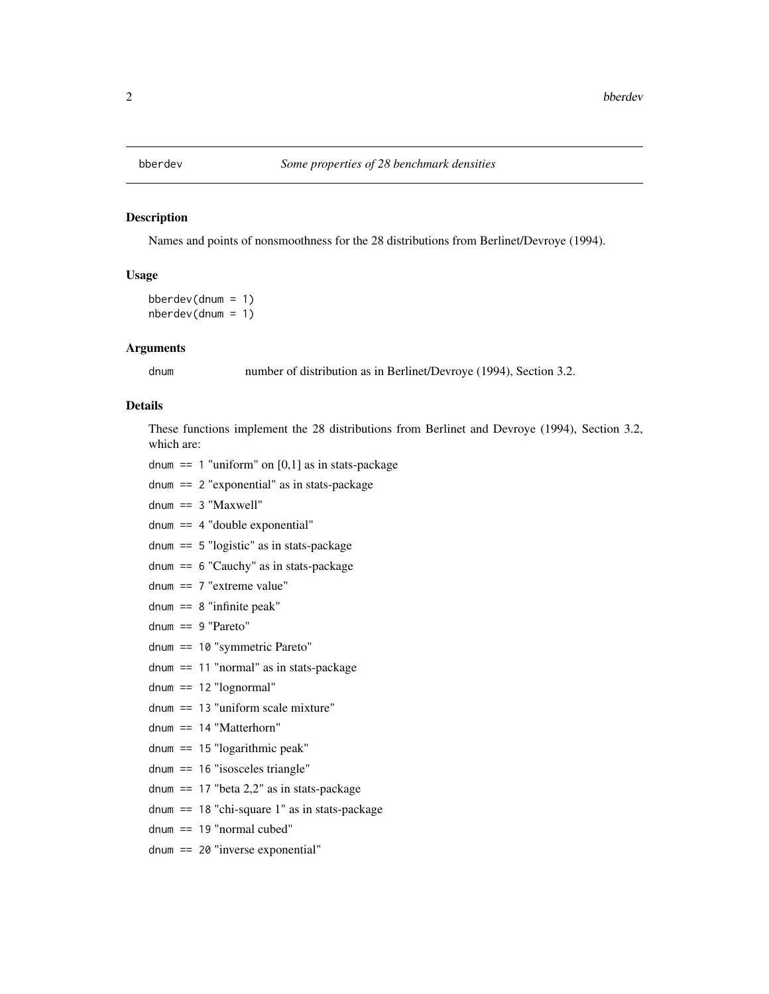#### <span id="page-1-0"></span>Description

Names and points of nonsmoothness for the 28 distributions from Berlinet/Devroye (1994).

# Usage

```
bberdev(dnum = 1)
nberdev(dnum = 1)
```
#### Arguments

dnum number of distribution as in Berlinet/Devroye (1994), Section 3.2.

# Details

These functions implement the 28 distributions from Berlinet and Devroye (1994), Section 3.2, which are:

dnum == 1 "uniform" on  $[0,1]$  as in stats-package

dnum == 2 "exponential" as in stats-package

dnum == 3 "Maxwell"

- dnum == 4 "double exponential"
- dnum == 5 "logistic" as in stats-package

dnum == 6 "Cauchy" as in stats-package

- dnum == 7 "extreme value"
- dnum  $== 8$  "infinite peak"
- dnum == 9 "Pareto"
- dnum == 10 "symmetric Pareto"
- dnum == 11 "normal" as in stats-package
- dnum == 12 "lognormal"
- dnum == 13 "uniform scale mixture"
- dnum == 14 "Matterhorn"
- dnum == 15 "logarithmic peak"
- dnum == 16 "isosceles triangle"
- dnum  $== 17$  "beta 2,2" as in stats-package
- dnum == 18 "chi-square 1" as in stats-package
- dnum == 19 "normal cubed"
- dnum == 20 "inverse exponential"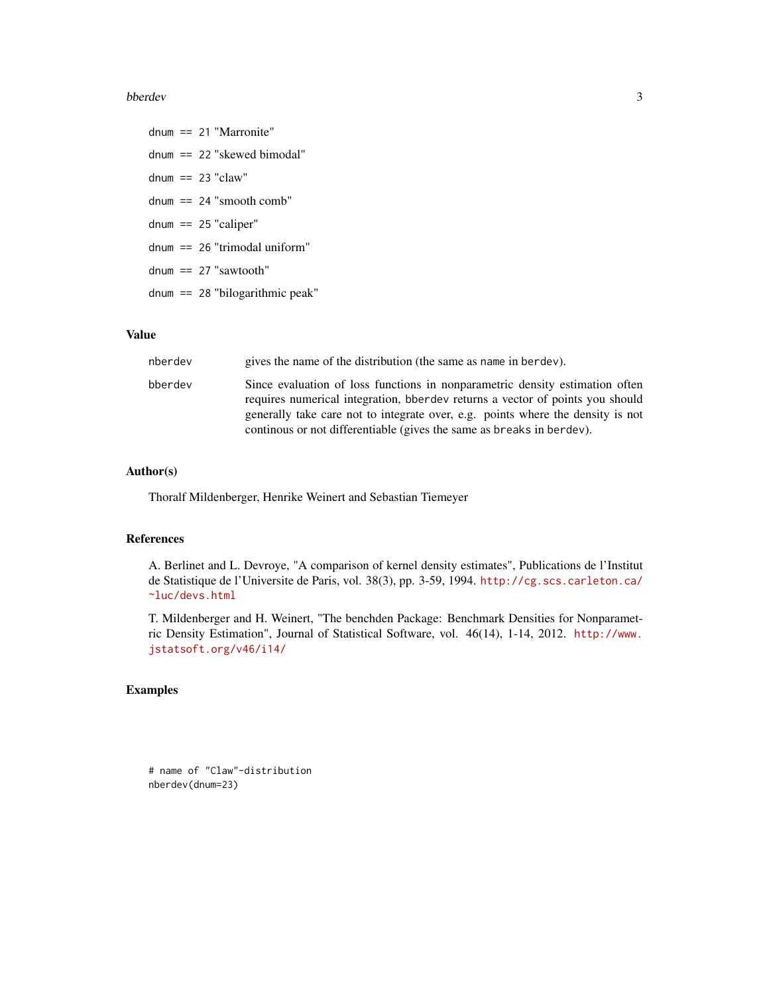#### bberdev 3

dnum == 21 "Marronite" dnum == 22 "skewed bimodal" dnum  $== 23$  "claw" dnum == 24 "smooth comb" dnum  $== 25$  "caliper" dnum == 26 "trimodal uniform" dnum == 27 "sawtooth" dnum == 28 "bilogarithmic peak"

#### Value

| nberdev | gives the name of the distribution (the same as name in berdev).                                                                                                                                                                                                                                                                  |
|---------|-----------------------------------------------------------------------------------------------------------------------------------------------------------------------------------------------------------------------------------------------------------------------------------------------------------------------------------|
| bberdev | Since evaluation of loss functions in nonparametric density estimation often<br>requires numerical integration, been developed returns a vector of points you should<br>generally take care not to integrate over, e.g. points where the density is not<br>continuous or not differentiable (gives the same as breaks in berdev). |

# Author(s)

Thoralf Mildenberger, Henrike Weinert and Sebastian Tiemeyer

# References

A. Berlinet and L. Devroye, "A comparison of kernel density estimates", Publications de l'Institut de Statistique de l'Universite de Paris, vol. 38(3), pp. 3-59, 1994. [http://cg.scs.carleton.ca/](http://cg.scs.carleton.ca/~luc/devs.html) [~luc/devs.html](http://cg.scs.carleton.ca/~luc/devs.html)

T. Mildenberger and H. Weinert, "The benchden Package: Benchmark Densities for Nonparametric Density Estimation", Journal of Statistical Software, vol. 46(14), 1-14, 2012. [http://www.](http://www.jstatsoft.org/v46/i14/) [jstatsoft.org/v46/i14/](http://www.jstatsoft.org/v46/i14/)

# Examples

# name of "Claw"-distribution nberdev(dnum=23)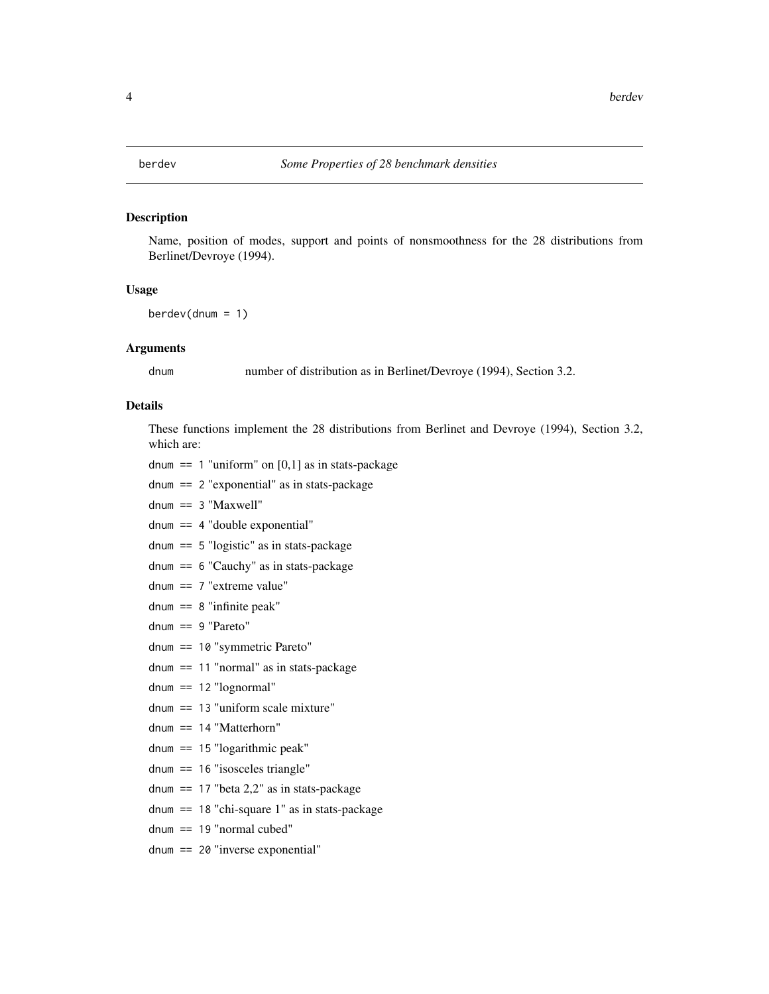#### <span id="page-3-0"></span>Description

Name, position of modes, support and points of nonsmoothness for the 28 distributions from Berlinet/Devroye (1994).

#### Usage

 $berdev(dnum = 1)$ 

#### Arguments

dnum number of distribution as in Berlinet/Devroye (1994), Section 3.2.

# Details

These functions implement the 28 distributions from Berlinet and Devroye (1994), Section 3.2, which are:

dnum == 1 "uniform" on  $[0,1]$  as in stats-package

dnum == 2 "exponential" as in stats-package

dnum == 3 "Maxwell"

- dnum == 4 "double exponential"
- dnum == 5 "logistic" as in stats-package

dnum == 6 "Cauchy" as in stats-package

- dnum == 7 "extreme value"
- dnum  $== 8$  "infinite peak"
- dnum == 9 "Pareto"
- dnum == 10 "symmetric Pareto"
- dnum == 11 "normal" as in stats-package
- dnum == 12 "lognormal"
- dnum == 13 "uniform scale mixture"
- dnum == 14 "Matterhorn"
- dnum == 15 "logarithmic peak"
- dnum == 16 "isosceles triangle"
- dnum  $== 17$  "beta 2,2" as in stats-package
- dnum == 18 "chi-square 1" as in stats-package
- dnum == 19 "normal cubed"
- dnum == 20 "inverse exponential"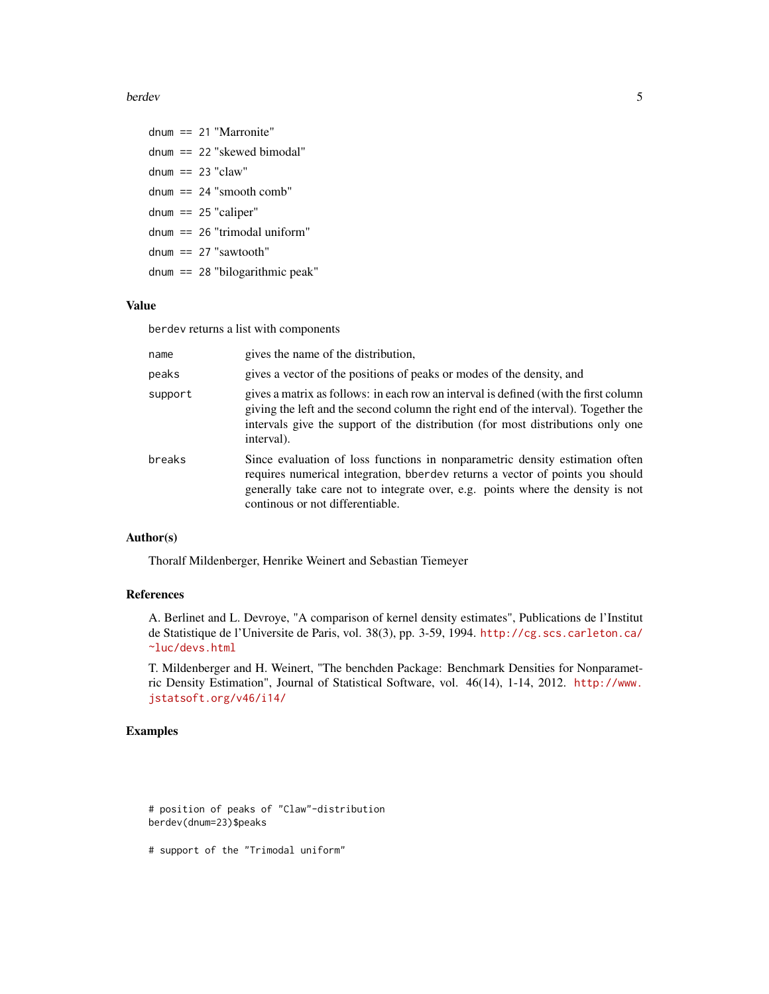#### berdev 5

dnum == 21 "Marronite" dnum == 22 "skewed bimodal" dnum  $== 23$  "claw" dnum  $== 24$  "smooth comb" dnum  $== 25$  "caliper" dnum == 26 "trimodal uniform" dnum  $== 27$  "sawtooth" dnum == 28 "bilogarithmic peak"

# Value

berdev returns a list with components

| name    | gives the name of the distribution,                                                                                                                                                                                                                                                         |
|---------|---------------------------------------------------------------------------------------------------------------------------------------------------------------------------------------------------------------------------------------------------------------------------------------------|
| peaks   | gives a vector of the positions of peaks or modes of the density, and                                                                                                                                                                                                                       |
| support | gives a matrix as follows: in each row an interval is defined (with the first column<br>giving the left and the second column the right end of the interval). Together the<br>intervals give the support of the distribution (for most distributions only one<br>interval).                 |
| breaks  | Since evaluation of loss functions in nonparametric density estimation often<br>requires numerical integration, been developed returns a vector of points you should<br>generally take care not to integrate over, e.g. points where the density is not<br>continous or not differentiable. |

# Author(s)

Thoralf Mildenberger, Henrike Weinert and Sebastian Tiemeyer

# References

A. Berlinet and L. Devroye, "A comparison of kernel density estimates", Publications de l'Institut de Statistique de l'Universite de Paris, vol. 38(3), pp. 3-59, 1994. [http://cg.scs.carleton.ca/](http://cg.scs.carleton.ca/~luc/devs.html) [~luc/devs.html](http://cg.scs.carleton.ca/~luc/devs.html)

T. Mildenberger and H. Weinert, "The benchden Package: Benchmark Densities for Nonparametric Density Estimation", Journal of Statistical Software, vol. 46(14), 1-14, 2012. [http://www.](http://www.jstatsoft.org/v46/i14/) [jstatsoft.org/v46/i14/](http://www.jstatsoft.org/v46/i14/)

# Examples

# position of peaks of "Claw"-distribution berdev(dnum=23)\$peaks

# support of the "Trimodal uniform"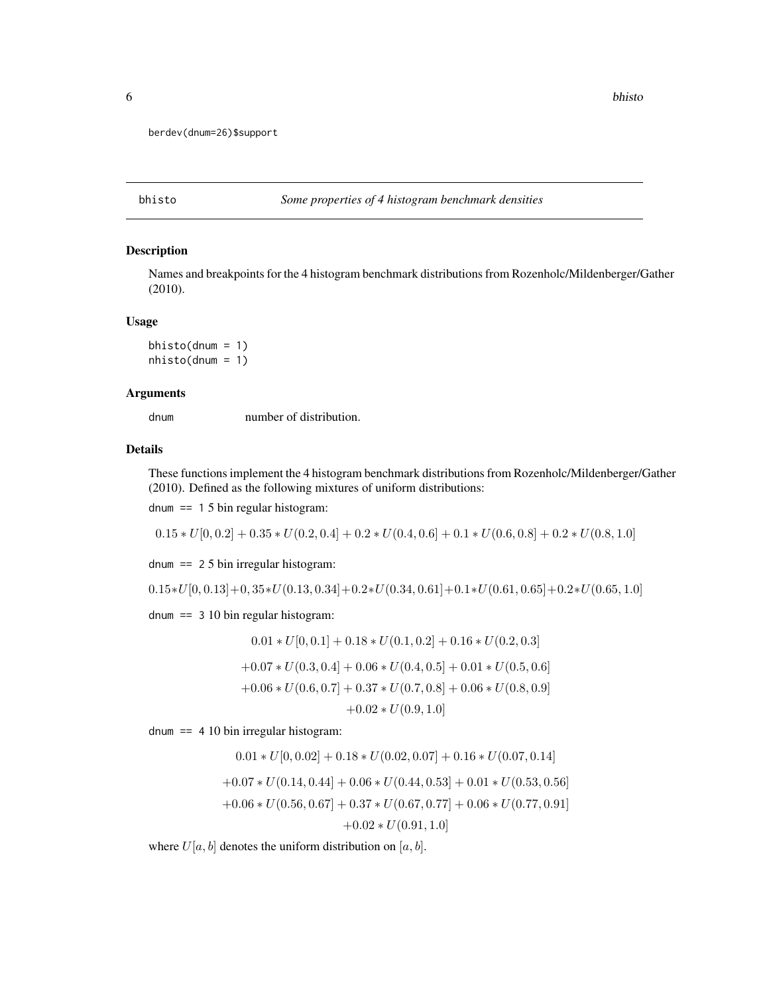```
berdev(dnum=26)$support
```
bhisto *Some properties of 4 histogram benchmark densities*

# Description

Names and breakpoints for the 4 histogram benchmark distributions from Rozenholc/Mildenberger/Gather (2010).

#### Usage

```
bhisto(dnum = 1)nhisto(dnum = 1)
```
# Arguments

dnum number of distribution.

# Details

These functions implement the 4 histogram benchmark distributions from Rozenholc/Mildenberger/Gather (2010). Defined as the following mixtures of uniform distributions:

dnum  $== 15 \text{ bin regular histogram}$ :

 $0.15 * U[0, 0.2] + 0.35 * U(0.2, 0.4] + 0.2 * U(0.4, 0.6] + 0.1 * U(0.6, 0.8] + 0.2 * U(0.8, 1.0]$ 

dnum == 2 5 bin irregular histogram:

 $0.15*U[0,0.13]+0,35*U(0.13,0.34]+0.2*U(0.34,0.61]+0.1*U(0.61,0.65]+0.2*U(0.65,1.0] \label{eq:15*U}$ 

dnum == 3 10 bin regular histogram:

$$
0.01 * U[0, 0.1] + 0.18 * U(0.1, 0.2] + 0.16 * U(0.2, 0.3]
$$
  
+0.07 \* U(0.3, 0.4] + 0.06 \* U(0.4, 0.5] + 0.01 \* U(0.5, 0.6]  
+0.06 \* U(0.6, 0.7] + 0.37 \* U(0.7, 0.8] + 0.06 \* U(0.8, 0.9]  
+0.02 \* U(0.9, 1.0]

dnum  $== 4 10 bin irregular histogram:$ 

$$
0.01 * U[0, 0.02] + 0.18 * U(0.02, 0.07] + 0.16 * U(0.07, 0.14]
$$
  
+0.07 \* U(0.14, 0.44] + 0.06 \* U(0.44, 0.53] + 0.01 \* U(0.53, 0.56]  
+0.06 \* U(0.56, 0.67] + 0.37 \* U(0.67, 0.77] + 0.06 \* U(0.77, 0.91]  
+0.02 \* U(0.91, 1.0]

where  $U[a, b]$  denotes the uniform distribution on  $[a, b]$ .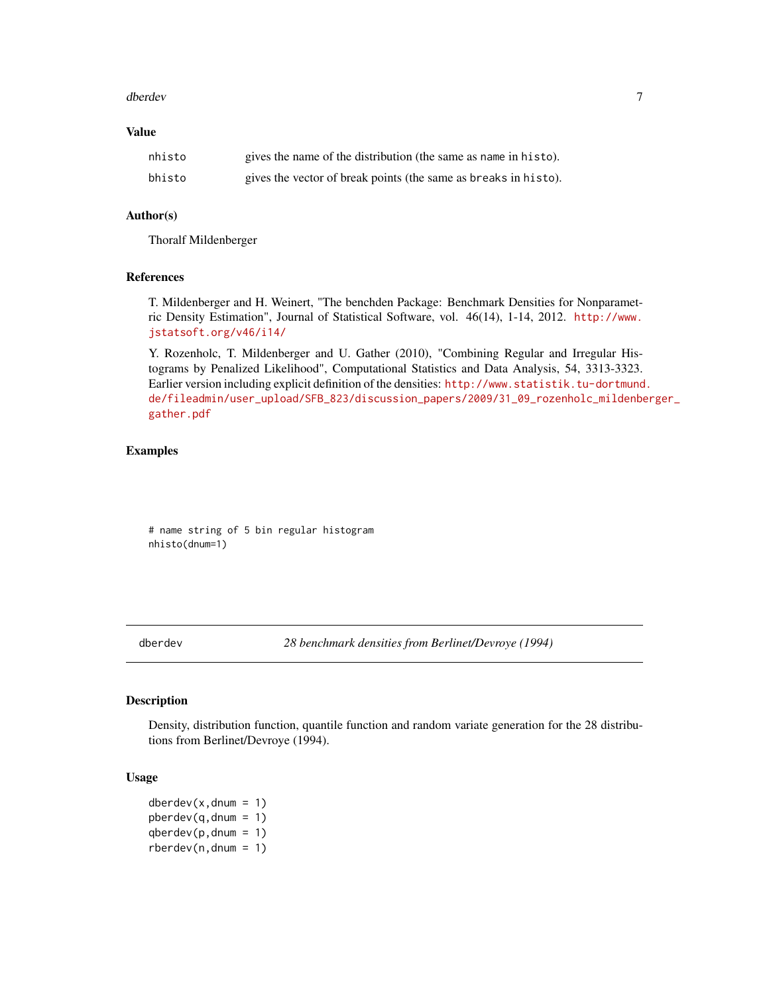#### <span id="page-6-0"></span>dberdev 7 and 2008 and 2008 and 2008 and 2008 and 2008 and 2008 and 2008 and 2008 and 2008 and 2008 and 2008 and 2008 and 2008 and 2008 and 2008 and 2008 and 2008 and 2008 and 2008 and 2008 and 2008 and 2008 and 2008 and 2

# Value

| nhisto | gives the name of the distribution (the same as name in histo). |
|--------|-----------------------------------------------------------------|
| bhisto | gives the vector of break points (the same as breaks in histo). |

#### Author(s)

Thoralf Mildenberger

#### References

T. Mildenberger and H. Weinert, "The benchden Package: Benchmark Densities for Nonparametric Density Estimation", Journal of Statistical Software, vol. 46(14), 1-14, 2012. [http://www.](http://www.jstatsoft.org/v46/i14/) [jstatsoft.org/v46/i14/](http://www.jstatsoft.org/v46/i14/)

Y. Rozenholc, T. Mildenberger and U. Gather (2010), "Combining Regular and Irregular Histograms by Penalized Likelihood", Computational Statistics and Data Analysis, 54, 3313-3323. Earlier version including explicit definition of the densities: [http://www.statistik.tu-dortmund](http://www.statistik.tu-dortmund.de/fileadmin/user_upload/SFB_823/discussion_papers/2009/31_09_rozenholc_mildenberger_gather.pdf). [de/fileadmin/user\\_upload/SFB\\_823/discussion\\_papers/2009/31\\_09\\_rozenholc\\_mildenbe](http://www.statistik.tu-dortmund.de/fileadmin/user_upload/SFB_823/discussion_papers/2009/31_09_rozenholc_mildenberger_gather.pdf)rger\_ [gather.pdf](http://www.statistik.tu-dortmund.de/fileadmin/user_upload/SFB_823/discussion_papers/2009/31_09_rozenholc_mildenberger_gather.pdf)

#### Examples

# name string of 5 bin regular histogram nhisto(dnum=1)

dberdev *28 benchmark densities from Berlinet/Devroye (1994)*

#### Description

Density, distribution function, quantile function and random variate generation for the 28 distributions from Berlinet/Devroye (1994).

#### Usage

 $dberdev(x, dnum = 1)$  $pberdev(q, dnum = 1)$  $qberdev(p, dnum = 1)$  $rberdev(n,dnum = 1)$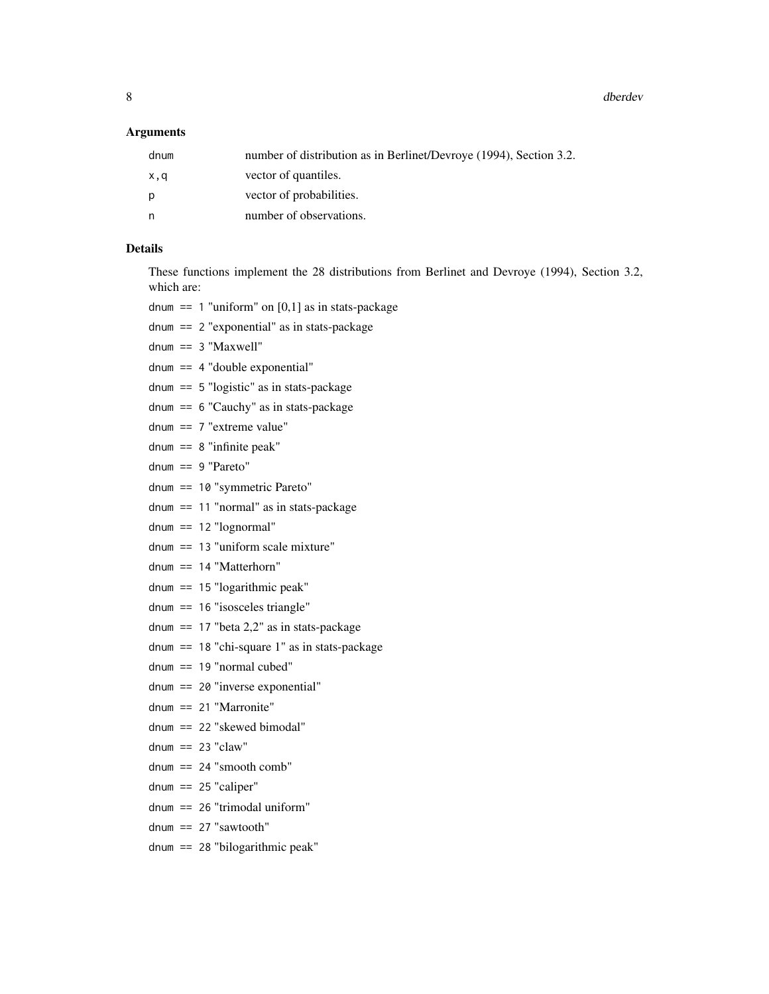8 dberdev $\sim$  8 dberdev $\sim$  8 dberdev $\sim$  8 dberdev $\sim$  4 dberdev $\sim$ 

#### Arguments

| dnum | number of distribution as in Berlinet/Devroye (1994), Section 3.2. |
|------|--------------------------------------------------------------------|
| x,q  | vector of quantiles.                                               |
| p    | vector of probabilities.                                           |
| n    | number of observations.                                            |
|      |                                                                    |

# Details

These functions implement the 28 distributions from Berlinet and Devroye (1994), Section 3.2, which are:

dnum  $== 1$  "uniform" on [0,1] as in stats-package

- dnum == 2 "exponential" as in stats-package
- dnum == 3 "Maxwell"
- dnum == 4 "double exponential"
- dnum == 5 "logistic" as in stats-package
- dnum == 6 "Cauchy" as in stats-package
- dnum == 7 "extreme value"
- dnum  $== 8$  "infinite peak"
- dnum == 9 "Pareto"
- dnum == 10 "symmetric Pareto"
- dnum == 11 "normal" as in stats-package
- dnum == 12 "lognormal"
- dnum == 13 "uniform scale mixture"
- dnum == 14 "Matterhorn"
- dnum == 15 "logarithmic peak"
- dnum == 16 "isosceles triangle"
- dnum  $== 17$  "beta  $2,2$ " as in stats-package
- dnum == 18 "chi-square 1" as in stats-package
- dnum == 19 "normal cubed"
- dnum == 20 "inverse exponential"
- dnum == 21 "Marronite"
- dnum == 22 "skewed bimodal"
- dnum  $== 23$  "claw"
- dnum  $== 24$  "smooth comb"
- dnum  $== 25$  "caliper"
- dnum == 26 "trimodal uniform"
- dnum == 27 "sawtooth"
- dnum == 28 "bilogarithmic peak"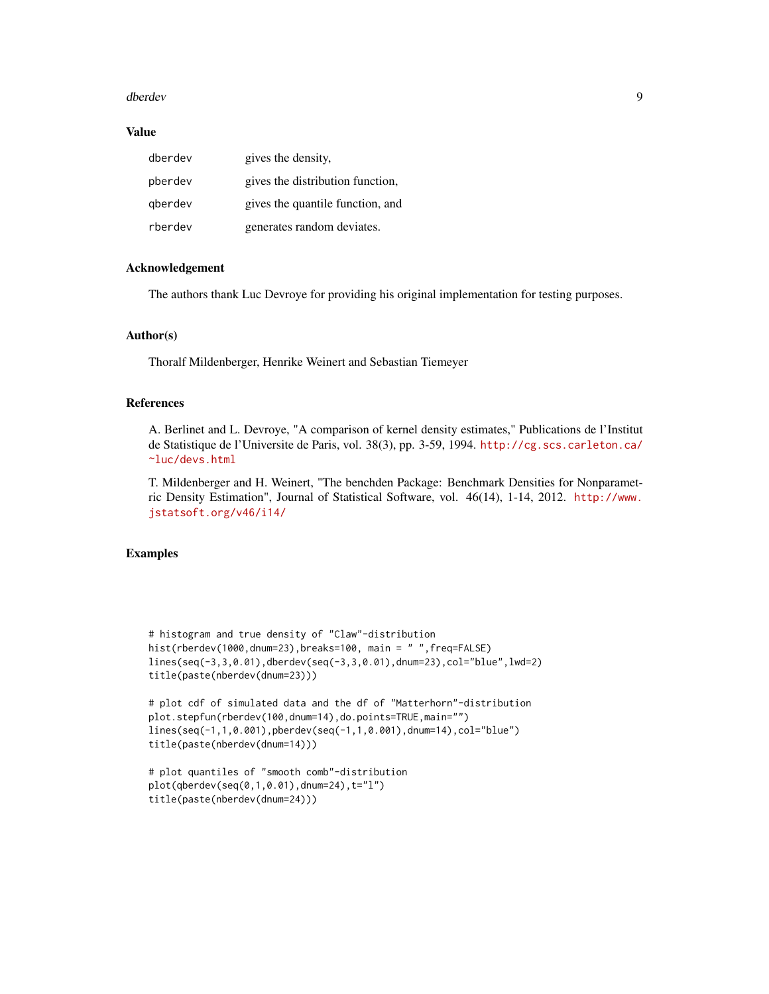#### dberdev 30 % and 30 % and 30 % and 30 % and 30 % and 30 % and 30 % and 30 % and 30 % and 30 % and 30 % and 30 %  $90\%$

#### Value

| dberdev | gives the density,               |
|---------|----------------------------------|
| pberdev | gives the distribution function, |
| gberdev | gives the quantile function, and |
| rberdev | generates random deviates.       |

#### Acknowledgement

The authors thank Luc Devroye for providing his original implementation for testing purposes.

#### Author(s)

Thoralf Mildenberger, Henrike Weinert and Sebastian Tiemeyer

## References

A. Berlinet and L. Devroye, "A comparison of kernel density estimates," Publications de l'Institut de Statistique de l'Universite de Paris, vol. 38(3), pp. 3-59, 1994. [http://cg.scs.carleton.ca/](http://cg.scs.carleton.ca/~luc/devs.html) [~luc/devs.html](http://cg.scs.carleton.ca/~luc/devs.html)

T. Mildenberger and H. Weinert, "The benchden Package: Benchmark Densities for Nonparametric Density Estimation", Journal of Statistical Software, vol. 46(14), 1-14, 2012. [http://www.](http://www.jstatsoft.org/v46/i14/) [jstatsoft.org/v46/i14/](http://www.jstatsoft.org/v46/i14/)

# Examples

```
# histogram and true density of "Claw"-distribution
hist(rberdev(1000,dnum=23),breaks=100, main = " ",freq=FALSE)
lines(seq(-3,3,0.01),dberdev(seq(-3,3,0.01),dnum=23),col="blue",lwd=2)
title(paste(nberdev(dnum=23)))
```

```
# plot cdf of simulated data and the df of "Matterhorn"-distribution
plot.stepfun(rberdev(100,dnum=14),do.points=TRUE,main="")
lines(seq(-1,1,0.001),pberdev(seq(-1,1,0.001),dnum=14),col="blue")
title(paste(nberdev(dnum=14)))
```

```
# plot quantiles of "smooth comb"-distribution
plot(qberdev(seq(0,1,0.01),dnum=24),t="l")
title(paste(nberdev(dnum=24)))
```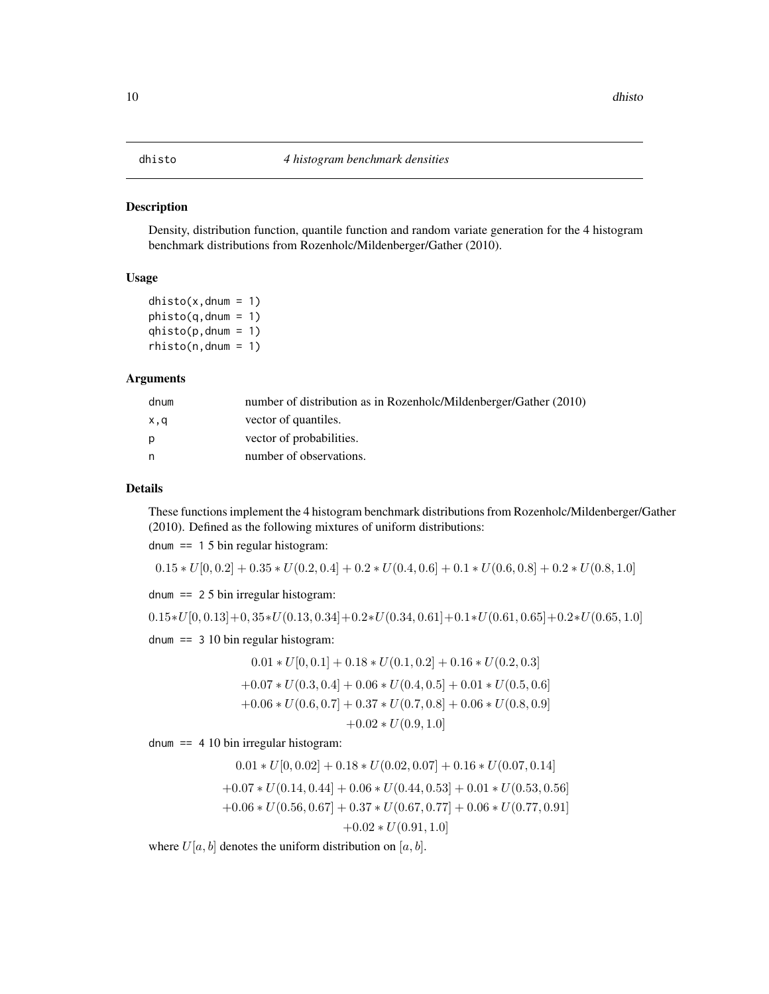# <span id="page-9-0"></span>Description

Density, distribution function, quantile function and random variate generation for the 4 histogram benchmark distributions from Rozenholc/Mildenberger/Gather (2010).

# Usage

 $dhisto(x,dnum = 1)$  $phisto(q,dnum = 1)$  $qhisto(p,dnum = 1)$  $rhisto(n,dnum = 1)$ 

# Arguments

| dnum | number of distribution as in Rozenholc/Mildenberger/Gather (2010) |
|------|-------------------------------------------------------------------|
| x,q  | vector of quantiles.                                              |
| D    | vector of probabilities.                                          |
| n    | number of observations.                                           |

# Details

These functions implement the 4 histogram benchmark distributions from Rozenholc/Mildenberger/Gather (2010). Defined as the following mixtures of uniform distributions:

dnum == 1 5 bin regular histogram:

$$
0.15 * U[0, 0.2] + 0.35 * U(0.2, 0.4] + 0.2 * U(0.4, 0.6] + 0.1 * U(0.6, 0.8] + 0.2 * U(0.8, 1.0]
$$

dnum == 2 5 bin irregular histogram:

$$
0.15*U[0, 0.13]+0, 35*U(0.13, 0.34]+0.2*U(0.34, 0.61]+0.1*U(0.61, 0.65]+0.2*U(0.65, 1.0]
$$

dnum == 3 10 bin regular histogram:

$$
0.01 * U[0, 0.1] + 0.18 * U(0.1, 0.2] + 0.16 * U(0.2, 0.3]
$$
  
+0.07 \* U(0.3, 0.4] + 0.06 \* U(0.4, 0.5] + 0.01 \* U(0.5, 0.6]  
+0.06 \* U(0.6, 0.7] + 0.37 \* U(0.7, 0.8] + 0.06 \* U(0.8, 0.9]

 $+0.02 * U(0.9, 1.0]$ 

dnum == 4 10 bin irregular histogram:

$$
0.01 * U[0, 0.02] + 0.18 * U(0.02, 0.07] + 0.16 * U(0.07, 0.14]
$$
  
+0.07 \* U(0.14, 0.44] + 0.06 \* U(0.44, 0.53] + 0.01 \* U(0.53, 0.56]  
+0.06 \* U(0.56, 0.67] + 0.37 \* U(0.67, 0.77] + 0.06 \* U(0.77, 0.91]  
+0.02 \* U(0.91, 1.0]

where  $U[a, b]$  denotes the uniform distribution on  $[a, b]$ .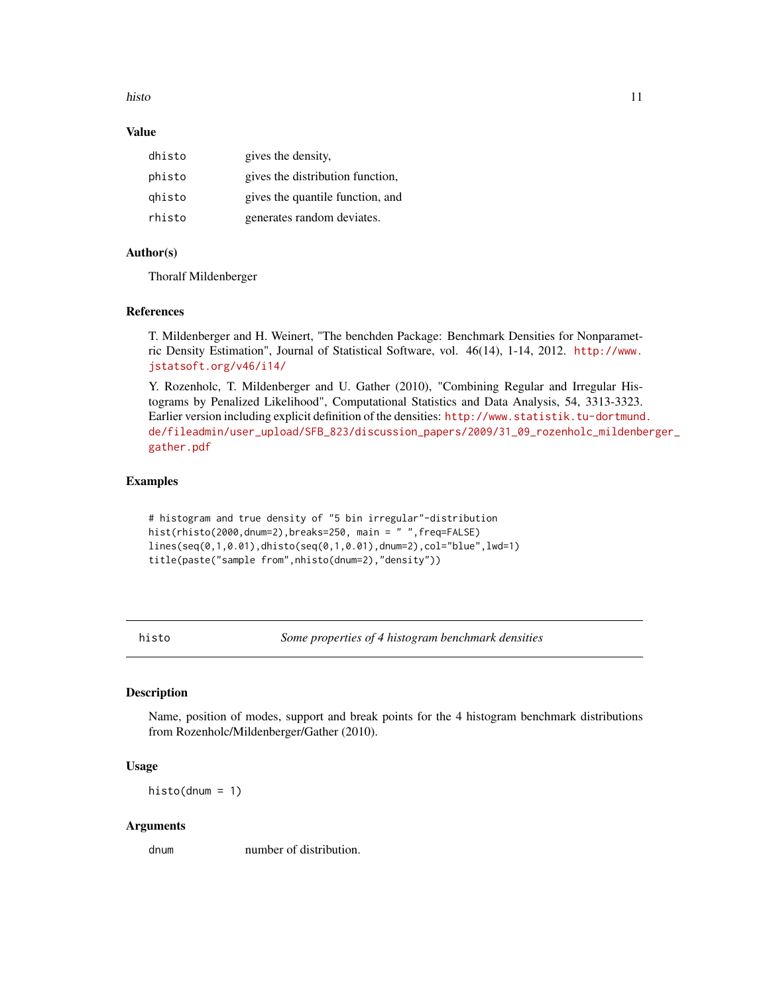#### <span id="page-10-0"></span>histo the contract of the contract of the contract of the contract of the contract of the contract of the contract of the contract of the contract of the contract of the contract of the contract of the contract of the cont

# Value

| dhisto | gives the density,               |
|--------|----------------------------------|
| phisto | gives the distribution function, |
| ghisto | gives the quantile function, and |
| rhisto | generates random deviates.       |

# Author(s)

Thoralf Mildenberger

## References

T. Mildenberger and H. Weinert, "The benchden Package: Benchmark Densities for Nonparametric Density Estimation", Journal of Statistical Software, vol. 46(14), 1-14, 2012. [http://www.](http://www.jstatsoft.org/v46/i14/) [jstatsoft.org/v46/i14/](http://www.jstatsoft.org/v46/i14/)

Y. Rozenholc, T. Mildenberger and U. Gather (2010), "Combining Regular and Irregular Histograms by Penalized Likelihood", Computational Statistics and Data Analysis, 54, 3313-3323. Earlier version including explicit definition of the densities: [http://www.statistik.tu-dortmund](http://www.statistik.tu-dortmund.de/fileadmin/user_upload/SFB_823/discussion_papers/2009/31_09_rozenholc_mildenberger_gather.pdf). [de/fileadmin/user\\_upload/SFB\\_823/discussion\\_papers/2009/31\\_09\\_rozenholc\\_mildenbe](http://www.statistik.tu-dortmund.de/fileadmin/user_upload/SFB_823/discussion_papers/2009/31_09_rozenholc_mildenberger_gather.pdf)rger\_ [gather.pdf](http://www.statistik.tu-dortmund.de/fileadmin/user_upload/SFB_823/discussion_papers/2009/31_09_rozenholc_mildenberger_gather.pdf)

## Examples

```
# histogram and true density of "5 bin irregular"-distribution
hist(rhisto(2000,dnum=2),breaks=250, main = " ",freq=FALSE)
lines(seq(0,1,0.01),dhisto(seq(0,1,0.01),dnum=2),col="blue",lwd=1)
title(paste("sample from",nhisto(dnum=2),"density"))
```
histo *Some properties of 4 histogram benchmark densities*

#### Description

Name, position of modes, support and break points for the 4 histogram benchmark distributions from Rozenholc/Mildenberger/Gather (2010).

# Usage

 $histo(dnum = 1)$ 

## Arguments

dnum number of distribution.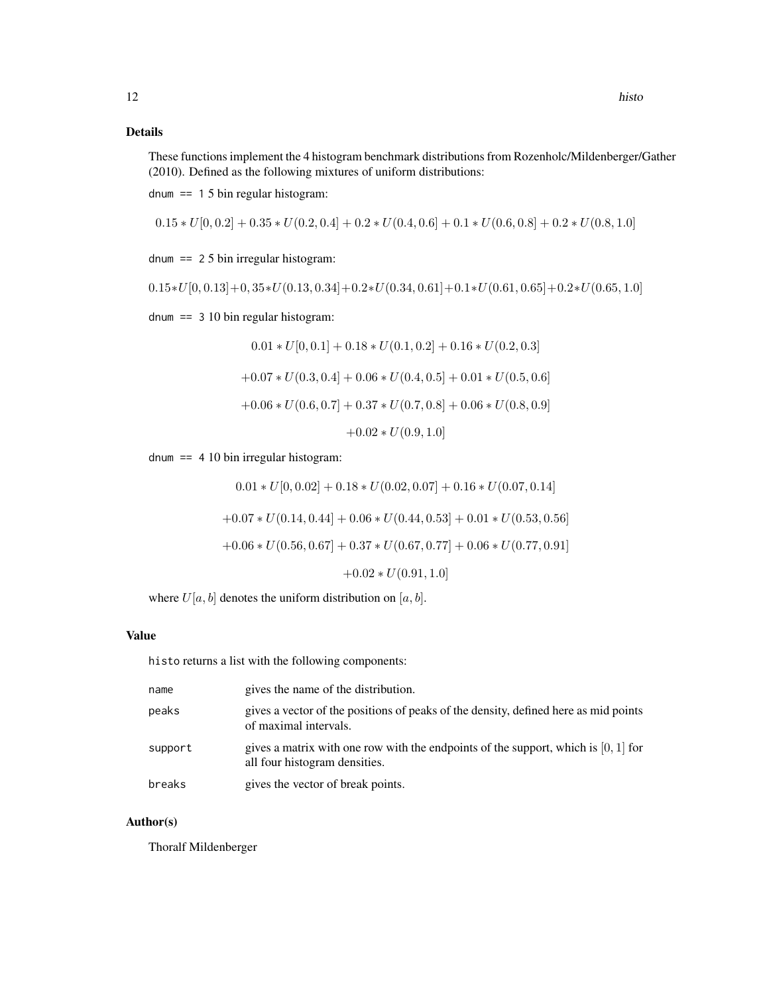# Details

These functions implement the 4 histogram benchmark distributions from Rozenholc/Mildenberger/Gather (2010). Defined as the following mixtures of uniform distributions:

dnum  $== 15 \text{ bin regular histogram}$ :

$$
0.15 * U[0, 0.2] + 0.35 * U(0.2, 0.4] + 0.2 * U(0.4, 0.6] + 0.1 * U(0.6, 0.8] + 0.2 * U(0.8, 1.0]
$$

dnum == 2 5 bin irregular histogram:

$$
0.15*U[0, 0.13]+0, 35*U(0.13, 0.34]+0.2*U(0.34, 0.61]+0.1*U(0.61, 0.65]+0.2*U(0.65, 1.0]
$$

dnum == 3 10 bin regular histogram:

$$
0.01 * U[0, 0.1] + 0.18 * U(0.1, 0.2] + 0.16 * U(0.2, 0.3]
$$
  
+0.07 \* U(0.3, 0.4] + 0.06 \* U(0.4, 0.5] + 0.01 \* U(0.5, 0.6]  
+0.06 \* U(0.6, 0.7] + 0.37 \* U(0.7, 0.8] + 0.06 \* U(0.8, 0.9]  
+0.02 \* U(0.9, 1.0]

dnum  $== 4 10 bin irregular histogram:$ 

 $0.01 * U[0, 0.02] + 0.18 * U(0.02, 0.07] + 0.16 * U(0.07, 0.14]$  $+0.07 * U(0.14, 0.44] + 0.06 * U(0.44, 0.53] + 0.01 * U(0.53, 0.56]$  $+0.06 * U(0.56, 0.67] + 0.37 * U(0.67, 0.77] + 0.06 * U(0.77, 0.91]$  $+0.02 * U(0.91, 1.0]$ 

where  $U[a, b]$  denotes the uniform distribution on  $[a, b]$ .

# Value

histo returns a list with the following components:

| name    | gives the name of the distribution.                                                                                   |
|---------|-----------------------------------------------------------------------------------------------------------------------|
| peaks   | gives a vector of the positions of peaks of the density, defined here as mid points<br>of maximal intervals.          |
| support | gives a matrix with one row with the endpoints of the support, which is $[0, 1]$ for<br>all four histogram densities. |
| breaks  | gives the vector of break points.                                                                                     |

# Author(s)

Thoralf Mildenberger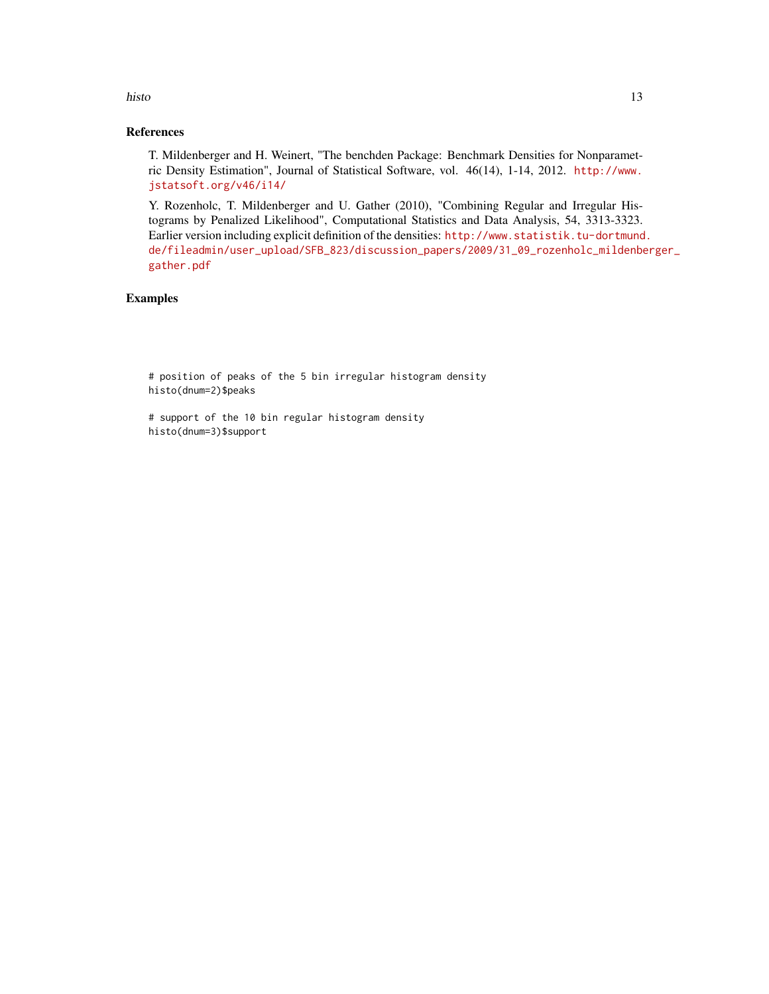# histo the contract of the contract of the contract of the contract of the contract of the contract of the contract of the contract of the contract of the contract of the contract of the contract of the contract of the cont

# References

T. Mildenberger and H. Weinert, "The benchden Package: Benchmark Densities for Nonparametric Density Estimation", Journal of Statistical Software, vol. 46(14), 1-14, 2012. [http://www.](http://www.jstatsoft.org/v46/i14/) [jstatsoft.org/v46/i14/](http://www.jstatsoft.org/v46/i14/)

Y. Rozenholc, T. Mildenberger and U. Gather (2010), "Combining Regular and Irregular Histograms by Penalized Likelihood", Computational Statistics and Data Analysis, 54, 3313-3323. Earlier version including explicit definition of the densities: [http://www.statistik.tu-dortmund](http://www.statistik.tu-dortmund.de/fileadmin/user_upload/SFB_823/discussion_papers/2009/31_09_rozenholc_mildenberger_gather.pdf). [de/fileadmin/user\\_upload/SFB\\_823/discussion\\_papers/2009/31\\_09\\_rozenholc\\_mildenbe](http://www.statistik.tu-dortmund.de/fileadmin/user_upload/SFB_823/discussion_papers/2009/31_09_rozenholc_mildenberger_gather.pdf)rger\_ [gather.pdf](http://www.statistik.tu-dortmund.de/fileadmin/user_upload/SFB_823/discussion_papers/2009/31_09_rozenholc_mildenberger_gather.pdf)

# Examples

# position of peaks of the 5 bin irregular histogram density histo(dnum=2)\$peaks

# support of the 10 bin regular histogram density histo(dnum=3)\$support